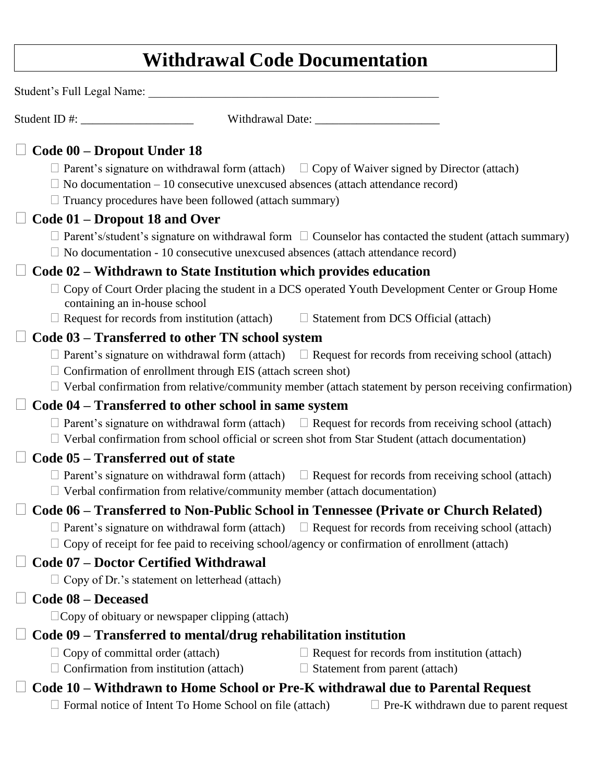## **Withdrawal Code Documentation**

| Student's Full Legal Name:  |                                                                                                                                                                                                                                                                                                                                                    |
|-----------------------------|----------------------------------------------------------------------------------------------------------------------------------------------------------------------------------------------------------------------------------------------------------------------------------------------------------------------------------------------------|
| Student ID #: $\frac{1}{2}$ |                                                                                                                                                                                                                                                                                                                                                    |
|                             | Code 00 – Dropout Under 18<br>$\Box$ Parent's signature on withdrawal form (attach) $\Box$ Copy of Waiver signed by Director (attach)<br>$\Box$ No documentation – 10 consecutive unexcused absences (attach attendance record)<br>$\Box$ Truancy procedures have been followed (attach summary)                                                   |
|                             | Code 01 – Dropout 18 and Over<br>$\Box$ Parent's/student's signature on withdrawal form $\Box$ Counselor has contacted the student (attach summary)<br>$\Box$ No documentation - 10 consecutive unexcused absences (attach attendance record)                                                                                                      |
|                             | Code 02 – Withdrawn to State Institution which provides education<br>Copy of Court Order placing the student in a DCS operated Youth Development Center or Group Home<br>containing an in-house school<br>$\Box$ Request for records from institution (attach) $\Box$ Statement from DCS Official (attach)                                         |
|                             | Code 03 – Transferred to other TN school system<br>Parent's signature on withdrawal form (attach) $\Box$ Request for records from receiving school (attach)<br>$\Box$ Confirmation of enrollment through EIS (attach screen shot)<br>$\Box$ Verbal confirmation from relative/community member (attach statement by person receiving confirmation) |
|                             | Code 04 – Transferred to other school in same system<br>$\Box$ Parent's signature on withdrawal form (attach) $\Box$ Request for records from receiving school (attach)<br>$\Box$ Verbal confirmation from school official or screen shot from Star Student (attach documentation)<br>Code 05 – Transferred out of state                           |
|                             | $\Box$ Parent's signature on withdrawal form (attach) $\Box$ Request for records from receiving school (attach)<br>$\Box$ Verbal confirmation from relative/community member (attach documentation)                                                                                                                                                |
|                             | Code 06 – Transferred to Non-Public School in Tennessee (Private or Church Related)<br>Parent's signature on withdrawal form (attach) $\Box$ Request for records from receiving school (attach)<br>$\Box$ Copy of receipt for fee paid to receiving school/agency or confirmation of enrollment (attach)                                           |
|                             | Code 07 – Doctor Certified Withdrawal<br>$\Box$ Copy of Dr.'s statement on letterhead (attach)                                                                                                                                                                                                                                                     |
| <b>Code 08 – Deceased</b>   | $\Box$ Copy of obituary or newspaper clipping (attach)                                                                                                                                                                                                                                                                                             |
|                             | Code 09 – Transferred to mental/drug rehabilitation institution<br>Copy of committal order (attach)<br>$\Box$ Request for records from institution (attach)<br>Confirmation from institution (attach)<br>$\Box$ Statement from parent (attach)<br>Code 10 – Withdrawn to Home School or Pre-K withdrawal due to Parental Request                   |
|                             | Formal notice of Intent To Home School on file (attach)<br>$\Box$ Pre-K withdrawn due to parent request                                                                                                                                                                                                                                            |